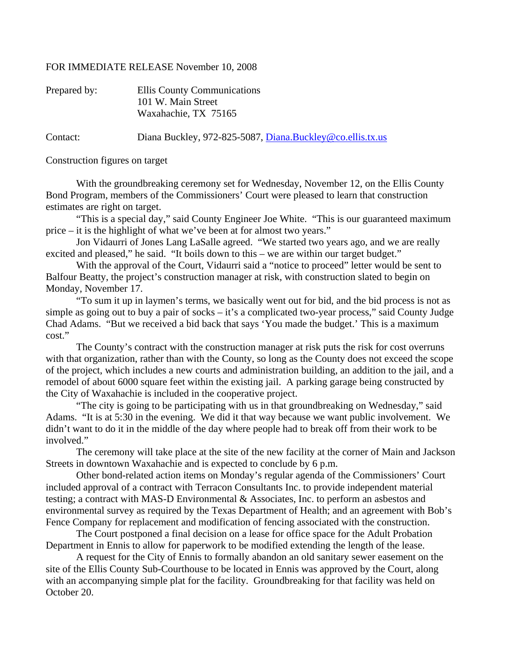## FOR IMMEDIATE RELEASE November 10, 2008

| Prepared by: | Ellis County Communications<br>101 W. Main Street         |
|--------------|-----------------------------------------------------------|
|              | Waxahachie, TX 75165                                      |
| Contact:     | Diana Buckley, 972-825-5087, Diana.Buckley@co.ellis.tx.us |

Construction figures on target

 With the groundbreaking ceremony set for Wednesday, November 12, on the Ellis County Bond Program, members of the Commissioners' Court were pleased to learn that construction estimates are right on target.

 "This is a special day," said County Engineer Joe White. "This is our guaranteed maximum price – it is the highlight of what we've been at for almost two years."

 Jon Vidaurri of Jones Lang LaSalle agreed. "We started two years ago, and we are really excited and pleased," he said. "It boils down to this – we are within our target budget."

 With the approval of the Court, Vidaurri said a "notice to proceed" letter would be sent to Balfour Beatty, the project's construction manager at risk, with construction slated to begin on Monday, November 17.

 "To sum it up in laymen's terms, we basically went out for bid, and the bid process is not as simple as going out to buy a pair of socks – it's a complicated two-year process," said County Judge Chad Adams. "But we received a bid back that says 'You made the budget.' This is a maximum cost."

 The County's contract with the construction manager at risk puts the risk for cost overruns with that organization, rather than with the County, so long as the County does not exceed the scope of the project, which includes a new courts and administration building, an addition to the jail, and a remodel of about 6000 square feet within the existing jail. A parking garage being constructed by the City of Waxahachie is included in the cooperative project.

 "The city is going to be participating with us in that groundbreaking on Wednesday," said Adams. "It is at 5:30 in the evening. We did it that way because we want public involvement. We didn't want to do it in the middle of the day where people had to break off from their work to be involved."

 The ceremony will take place at the site of the new facility at the corner of Main and Jackson Streets in downtown Waxahachie and is expected to conclude by 6 p.m.

 Other bond-related action items on Monday's regular agenda of the Commissioners' Court included approval of a contract with Terracon Consultants Inc. to provide independent material testing; a contract with MAS-D Environmental & Associates, Inc. to perform an asbestos and environmental survey as required by the Texas Department of Health; and an agreement with Bob's Fence Company for replacement and modification of fencing associated with the construction.

 The Court postponed a final decision on a lease for office space for the Adult Probation Department in Ennis to allow for paperwork to be modified extending the length of the lease.

 A request for the City of Ennis to formally abandon an old sanitary sewer easement on the site of the Ellis County Sub-Courthouse to be located in Ennis was approved by the Court, along with an accompanying simple plat for the facility. Groundbreaking for that facility was held on October 20.